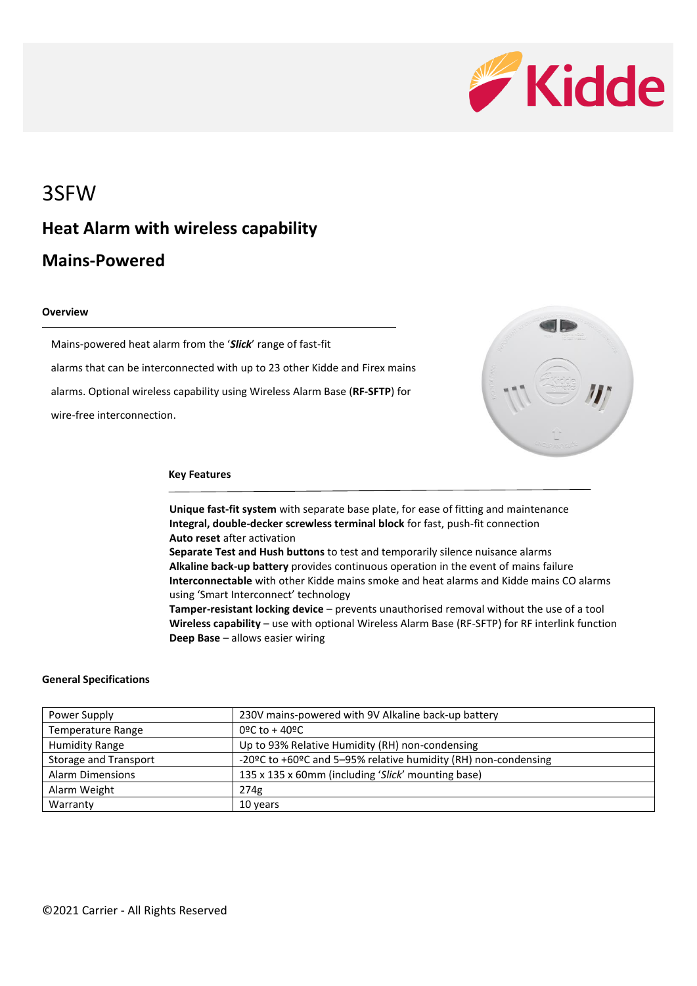

### 3SFW

# **Heat Alarm with wireless capability**

### **Mains-Powered**

### **Overview**

Mains-powered heat alarm from the '*Slick*' range of fast-fit alarms that can be interconnected with up to 23 other Kidde and Firex mains alarms. Optional wireless capability using Wireless Alarm Base (**RF-SFTP**) for wire-free interconnection.



#### **Key Features**

**Unique fast-fit system** with separate base plate, for ease of fitting and maintenance **Integral, double-decker screwless terminal block** for fast, push-fit connection **Auto reset** after activation

**Separate Test and Hush buttons** to test and temporarily silence nuisance alarms **Alkaline back-up battery** provides continuous operation in the event of mains failure **Interconnectable** with other Kidde mains smoke and heat alarms and Kidde mains CO alarms using 'Smart Interconnect' technology

**Tamper-resistant locking device** – prevents unauthorised removal without the use of a tool **Wireless capability** – use with optional Wireless Alarm Base (RF-SFTP) for RF interlink function **Deep Base** – allows easier wiring

### **General Specifications**

| Power Supply                 | 230V mains-powered with 9V Alkaline back-up battery            |
|------------------------------|----------------------------------------------------------------|
| Temperature Range            | $0^{\circ}$ C to + 40°C                                        |
| <b>Humidity Range</b>        | Up to 93% Relative Humidity (RH) non-condensing                |
| <b>Storage and Transport</b> | -20°C to +60°C and 5-95% relative humidity (RH) non-condensing |
| <b>Alarm Dimensions</b>      | 135 x 135 x 60mm (including 'Slick' mounting base)             |
| Alarm Weight                 | 274g                                                           |
| Warranty                     | 10 years                                                       |